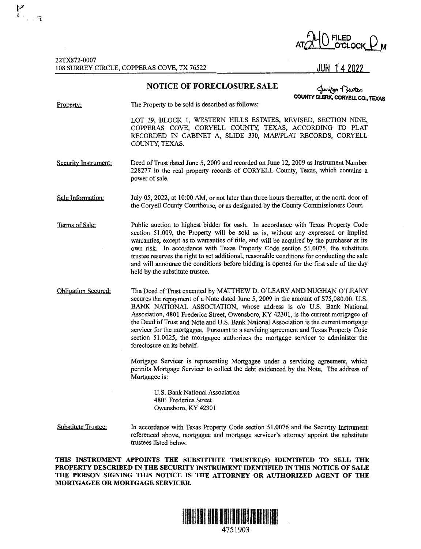

22TX872-0007 108 SURREY CIRCLE, COPPERAS COVE, TX 76522

 $\begin{bmatrix} 1 & 1 \\ 1 & 1 \end{bmatrix}$ 

## **NOTICE OF FORECLOSURE SALE**

**COUNTY CLERK,**  ~~ **CORYELL CO., TEXAS** 

Property: The Property to be sold is described as follows:

> LOT 19, BLOCK 1, WESTERN HILLS ESTATES, REVISED, SECTION NINE, COPPERAS COVE, CORYELL COUNTY, TEXAS, ACCORDING TO PLAT RECORDED IN CABINET A, SLIDE 330, MAPIPLAT RECORDS, CORYELL COUNTY, TEXAS.

Security Instrument: Deed of Trust dated June 5, 2009 and recorded on June 12, 2009 as Instrument Number 228277 in the real property records of CORYELL County, Texas, which contains a power of sale.

Sale Information: July 05, 2022, at 10:00 AM, or not later than three hours thereafter, at the north door of the Coryell County Courthouse, or as designated by the County Commissioners Court.

Terms of Sale: Public auction to highest bidder for cash. In accordance with Texas Property Code section 51.009, the Property will be sold as is, without any expressed or implied warranties, except as to warranties of title, and will be acquired by the purchaser at its own risk. In accordance with Texas Property Code section 51.0075, the substitute trustee reserves the right to set additional, reasonable conditions for conducting the sale and will announce the conditions before bidding is opened for the first sale of the day held by the substitute trustee.

Obligation Secured: The Deed of Trust executed by MATTHEW D. O'LEARY AND NUGHAN O'LEARY secures the repayment of a Note dated June 5, 2009 in the amount of \$75,080.00. U.S. BANK NATIONAL ASSOCIATION, whose address is c/o U.S. Bank National Association, 4801 Frederica Street, Owensboro, KY 42301, is the current mortgagee of the Deed of Trust and Note and U.S. Bank National Association is the current mortgage servicer for the mortgagee. Pursuant to a servicing agreement and Texas Property Code section 51.0025, the mortgagee authorizes the mortgage servicer to administer the foreclosure on its behalf.

> Mortgage Servicer is representing Mortgagee under a servicing agreement, which pennits Mortgage Servicer to collect the debt evidenced by the Note, The address of Mortgagee is:

U.S. Bank National Association 4801 Frederica Street Owensboro, KY 42301

Substitute Trustee: In accordance with Texas Property Code section 51.0076 and the Security Instrument referenced above, mortgagee and mortgage servicer's attorney appoint the substitute trustees listed below.

**THIS INSTRUMENT APPOINTS THE SUBSTITUTE TRUSTEE(S) IDENTIFIED TO SELL THE PROPERTY DESCRIBED IN THE SECURITY INSTRUMENT IDENTIFIED IN THIS NOTICE OF SALE THE PERSON SIGNING THIS NOTICE IS THE ATTORNEY OR AUTHORIZED AGENT OF THE MORTGAGEE OR MORTGAGE SERVICER.** 



4751903